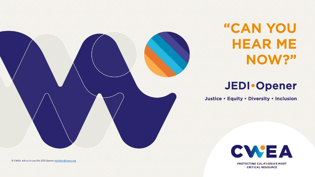

"CAN YOU HEAR ME NOW?"

## JEDI•Opener

Justice • Equity • Diversity • Inclusion



**PROTECTING CALIFORNIA'S MOST CRITICAL RESOURCE** 

© CWEA. Ask us to use this JEDI Opener [ebulletin@cwea.org](mailto:ebulletin@cwea.org)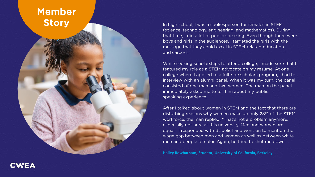### Member **Story**

In high school, I was a spokesperson for females in STEM (science, technology, engineering, and mathematics). During that time, I did a lot of public speaking. Even though there were boys and girls in the audiences, I targeted the girls with the message that they could excel in STEM-related education and careers.

While seeking scholarships to attend college, I made sure that I featured my role as a STEM advocate on my resume. At one college where I applied to a full-ride scholars program, I had to interview with an alumni panel. When it was my turn, the panel consisted of one man and two women. The man on the panel immediately asked me to tell him about my public speaking experience.

After I talked about women in STEM and the fact that there are disturbing reasons why women make up only 28% of the STEM workforce, the man replied, "That's not a problem anymore, especially not here at this university. Men and women are equal." I responded with disbelief and went on to mention the wage gap between men and women as well as between white men and people of color. Again, he tried to shut me down.

**Hailey Rowbatham, Student, University of California, Berkeley**

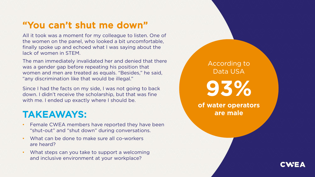### "You can't shut me down"

All it took was a moment for my colleague to listen. One of the women on the panel, who looked a bit uncomfortable, finally spoke up and echoed what I was saying about the lack of women in STEM.

The man immediately invalidated her and denied that there was a gender gap before repeating his position that women and men are treated as equals. "Besides," he said, "any discrimination like that would be illegal."

Since I had the facts on my side, I was not going to back down. I didn't receive the scholarship, but that was fine with me. I ended up exactly where I should be.

#### TAKEAWAYS:

- Female CWEA members have reported they have been "shut-out" and "shut down" during conversations.
- What can be done to make sure all co-workers are heard?
- What steps can you take to support a welcoming and inclusive environment at your workplace?

According to Data USA **93% of water operators are male**